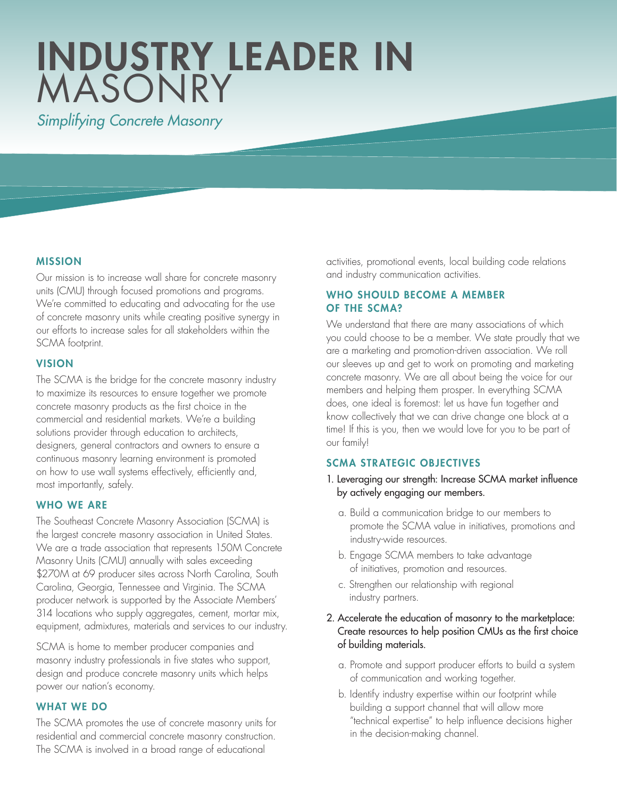# INDUSTRY LEADER IN MASONRY

*Simplifying Concrete Masonry*

# MISSION

Our mission is to increase wall share for concrete masonry units (CMU) through focused promotions and programs. We're committed to educating and advocating for the use of concrete masonry units while creating positive synergy in our efforts to increase sales for all stakeholders within the SCMA footprint.

#### VISION

The SCMA is the bridge for the concrete masonry industry to maximize its resources to ensure together we promote concrete masonry products as the first choice in the commercial and residential markets. We're a building solutions provider through education to architects, designers, general contractors and owners to ensure a continuous masonry learning environment is promoted on how to use wall systems effectively, efficiently and, most importantly, safely.

## WHO WE ARE

The Southeast Concrete Masonry Association (SCMA) is the largest concrete masonry association in United States. We are a trade association that represents 150M Concrete Masonry Units (CMU) annually with sales exceeding \$270M at 69 producer sites across North Carolina, South Carolina, Georgia, Tennessee and Virginia. The SCMA producer network is supported by the Associate Members' 314 locations who supply aggregates, cement, mortar mix, equipment, admixtures, materials and services to our industry.

SCMA is home to member producer companies and masonry industry professionals in five states who support, design and produce concrete masonry units which helps power our nation's economy.

# WHAT WE DO

The SCMA promotes the use of concrete masonry units for residential and commercial concrete masonry construction. The SCMA is involved in a broad range of educational

activities, promotional events, local building code relations and industry communication activities.

# WHO SHOULD BECOME A MEMBER OF THE SCMA?

We understand that there are many associations of which you could choose to be a member. We state proudly that we are a marketing and promotion-driven association. We roll our sleeves up and get to work on promoting and marketing concrete masonry. We are all about being the voice for our members and helping them prosper. In everything SCMA does, one ideal is foremost: let us have fun together and know collectively that we can drive change one block at a time! If this is you, then we would love for you to be part of our family!

# SCMA STRATEGIC OBJECTIVES

- 1. Leveraging our strength: Increase SCMA market influence by actively engaging our members.
	- a. Build a communication bridge to our members to promote the SCMA value in initiatives, promotions and industry-wide resources.
	- b. Engage SCMA members to take advantage of initiatives, promotion and resources.
	- c. Strengthen our relationship with regional industry partners.

# 2. Accelerate the education of masonry to the marketplace: Create resources to help position CMUs as the first choice of building materials.

- a. Promote and support producer efforts to build a system of communication and working together.
- b. Identify industry expertise within our footprint while building a support channel that will allow more "technical expertise" to help influence decisions higher in the decision-making channel.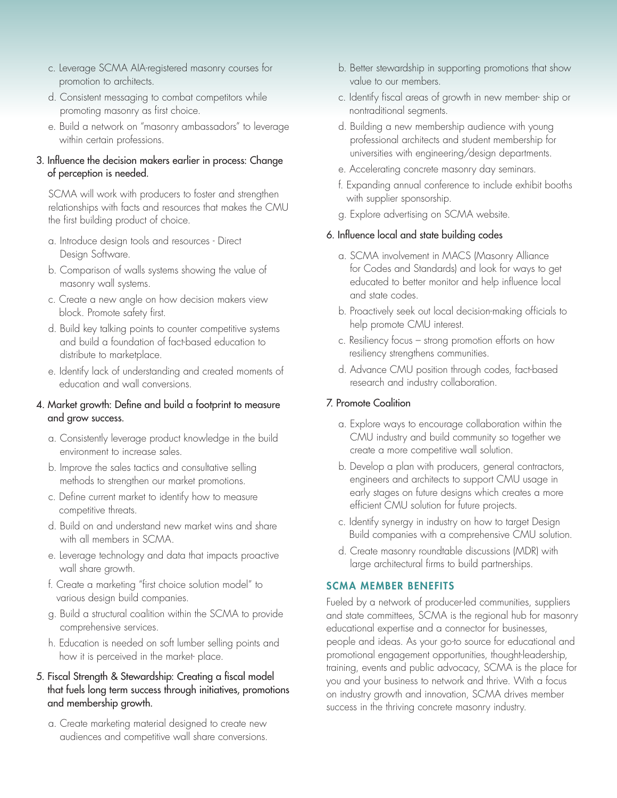- c. Leverage SCMA AIA-registered masonry courses for promotion to architects.
- d. Consistent messaging to combat competitors while promoting masonry as first choice.
- e. Build a network on "masonry ambassadors" to leverage within certain professions.

#### 3. Influence the decision makers earlier in process: Change of perception is needed.

 SCMA will work with producers to foster and strengthen relationships with facts and resources that makes the CMU the first building product of choice.

- a. Introduce design tools and resources Direct Design Software.
- b. Comparison of walls systems showing the value of masonry wall systems.
- c. Create a new angle on how decision makers view block. Promote safety first.
- d. Build key talking points to counter competitive systems and build a foundation of fact-based education to distribute to marketplace.
- e. Identify lack of understanding and created moments of education and wall conversions.

#### 4. Market growth: Define and build a footprint to measure and grow success.

- a. Consistently leverage product knowledge in the build environment to increase sales.
- b. Improve the sales tactics and consultative selling methods to strengthen our market promotions.
- c. Define current market to identify how to measure competitive threats.
- d. Build on and understand new market wins and share with all members in SCMA.
- e. Leverage technology and data that impacts proactive wall share growth.
- f. Create a marketing "first choice solution model" to various design build companies.
- g. Build a structural coalition within the SCMA to provide comprehensive services.
- h. Education is needed on soft lumber selling points and how it is perceived in the market- place.
- 5. Fiscal Strength & Stewardship: Creating a fiscal model that fuels long term success through initiatives, promotions and membership growth.
	- a. Create marketing material designed to create new audiences and competitive wall share conversions.
- b. Better stewardship in supporting promotions that show value to our members.
- c. Identify fiscal areas of growth in new member- ship or nontraditional segments.
- d. Building a new membership audience with young professional architects and student membership for universities with engineering/design departments.
- e. Accelerating concrete masonry day seminars.
- f. Expanding annual conference to include exhibit booths with supplier sponsorship.
- g. Explore advertising on SCMA website.

#### 6. Influence local and state building codes

- a. SCMA involvement in MACS (Masonry Alliance for Codes and Standards) and look for ways to get educated to better monitor and help influence local and state codes.
- b. Proactively seek out local decision-making officials to help promote CMU interest.
- c. Resiliency focus strong promotion efforts on how resiliency strengthens communities.
- d. Advance CMU position through codes, fact-based research and industry collaboration.

#### 7. Promote Coalition

- a. Explore ways to encourage collaboration within the CMU industry and build community so together we create a more competitive wall solution.
- b. Develop a plan with producers, general contractors, engineers and architects to support CMU usage in early stages on future designs which creates a more efficient CMU solution for future projects.
- c. Identify synergy in industry on how to target Design Build companies with a comprehensive CMU solution.
- d. Create masonry roundtable discussions (MDR) with large architectural firms to build partnerships.

#### SCMA MEMBER BENEFITS

Fueled by a network of producer-led communities, suppliers and state committees, SCMA is the regional hub for masonry educational expertise and a connector for businesses, people and ideas. As your go-to source for educational and promotional engagement opportunities, thought-leadership, training, events and public advocacy, SCMA is the place for you and your business to network and thrive. With a focus on industry growth and innovation, SCMA drives member success in the thriving concrete masonry industry.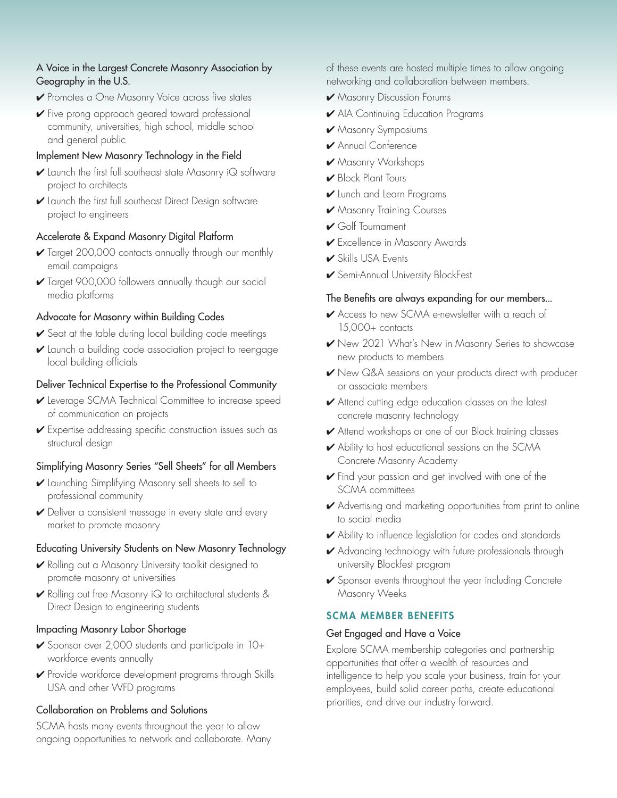#### A Voice in the Largest Concrete Masonry Association by Geography in the U.S.

- **V** Promotes a One Masonry Voice across five states
- 4 Five prong approach geared toward professional community, universities, high school, middle school and general public

## Implement New Masonry Technology in the Field

- $\checkmark$  Launch the first full southeast state Masonry i $\mathsf Q$  software project to architects
- 4 Launch the first full southeast Direct Design software project to engineers

## Accelerate & Expand Masonry Digital Platform

- 4 Target 200,000 contacts annually through our monthly email campaigns
- 4 Target 900,000 followers annually though our social media platforms

## Advocate for Masonry within Building Codes

- $\checkmark$  Seat at the table during local building code meetings
- 4 Launch a building code association project to reengage local building officials

## Deliver Technical Expertise to the Professional Community

- 4 Leverage SCMA Technical Committee to increase speed of communication on projects
- 4 Expertise addressing specific construction issues such as structural design

# Simplifying Masonry Series "Sell Sheets" for all Members

- 4 Launching Simplifying Masonry sell sheets to sell to professional community
- ► Deliver a consistent message in every state and every market to promote masonry

#### Educating University Students on New Masonry Technology

- 4 Rolling out a Masonry University toolkit designed to promote masonry at universities
- 4 Rolling out free Masonry iQ to architectural students & Direct Design to engineering students

# Impacting Masonry Labor Shortage

- ► Sponsor over 2,000 students and participate in 10+ workforce events annually
- 4 Provide workforce development programs through Skills USA and other WFD programs

# Collaboration on Problems and Solutions

SCMA hosts many events throughout the year to allow ongoing opportunities to network and collaborate. Many of these events are hosted multiple times to allow ongoing networking and collaboration between members.

- 4 Masonry Discussion Forums
- 4 AIA Continuing Education Programs
- 4 Masonry Symposiums
- 4 Annual Conference
- 4 Masonry Workshops
- Block Plant Tours
- 4 Lunch and Learn Programs
- 4 Masonry Training Courses
- 4 Golf Tournament
- ► Excellence in Masonry Awards
- $\blacktriangleright$  Skills USA Events
- 4 Semi-Annual University BlockFest

## The Benefits are always expanding for our members...

- ◆ Access to new SCMA e-newsletter with a reach of 15,000+ contacts
- 4 New 2021 What's New in Masonry Series to showcase new products to members
- 4 New Q&A sessions on your products direct with producer or associate members
- ✔ Attend cutting edge education classes on the latest concrete masonry technology
- ✔ Attend workshops or one of our Block training classes
- ► Ability to host educational sessions on the SCMA Concrete Masonry Academy
- 4 Find your passion and get involved with one of the SCMA committees
- 4 Advertising and marketing opportunities from print to online to social media
- **►** Ability to influence legislation for codes and standards
- 4 Advancing technology with future professionals through university Blockfest program
- 4 Sponsor events throughout the year including Concrete Masonry Weeks

# SCMA MEMBER BENEFITS

#### Get Engaged and Have a Voice

Explore SCMA membership categories and partnership opportunities that offer a wealth of resources and intelligence to help you scale your business, train for your employees, build solid career paths, create educational priorities, and drive our industry forward.